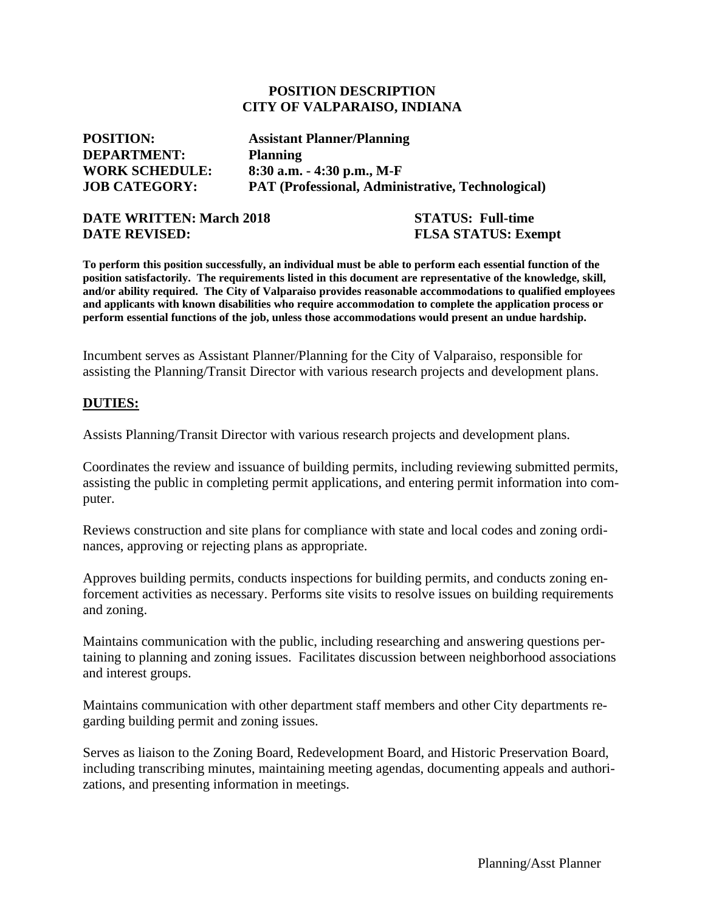#### **POSITION DESCRIPTION CITY OF VALPARAISO, INDIANA**

| <b>POSITION:</b>      | <b>Assistant Planner/Planning</b>                        |
|-----------------------|----------------------------------------------------------|
| <b>DEPARTMENT:</b>    | <b>Planning</b>                                          |
| <b>WORK SCHEDULE:</b> | $8:30$ a.m. $-4:30$ p.m., M-F                            |
| <b>JOB CATEGORY:</b>  | <b>PAT (Professional, Administrative, Technological)</b> |

#### **DATE WRITTEN: March 2018 STATUS: Full-time DATE REVISED: FLSA STATUS: Exempt**

To perform this position successfully, an individual must be able to perform each essential function of the **position satisfactorily. The requirements listed in this document are representative of the knowledge, skill, and/or ability required. The City of Valparaiso provides reasonable accommodations to qualified employees and applicants with known disabilities who require accommodation to complete the application process or perform essential functions of the job, unless those accommodations would present an undue hardship.**

Incumbent serves as Assistant Planner/Planning for the City of Valparaiso, responsible for assisting the Planning/Transit Director with various research projects and development plans.

#### **DUTIES:**

Assists Planning/Transit Director with various research projects and development plans.

Coordinates the review and issuance of building permits, including reviewing submitted permits, assisting the public in completing permit applications, and entering permit information into computer.

Reviews construction and site plans for compliance with state and local codes and zoning ordinances, approving or rejecting plans as appropriate.

Approves building permits, conducts inspections for building permits, and conducts zoning enforcement activities as necessary. Performs site visits to resolve issues on building requirements and zoning.

Maintains communication with the public, including researching and answering questions pertaining to planning and zoning issues. Facilitates discussion between neighborhood associations and interest groups.

Maintains communication with other department staff members and other City departments regarding building permit and zoning issues.

Serves as liaison to the Zoning Board, Redevelopment Board, and Historic Preservation Board, including transcribing minutes, maintaining meeting agendas, documenting appeals and authorizations, and presenting information in meetings.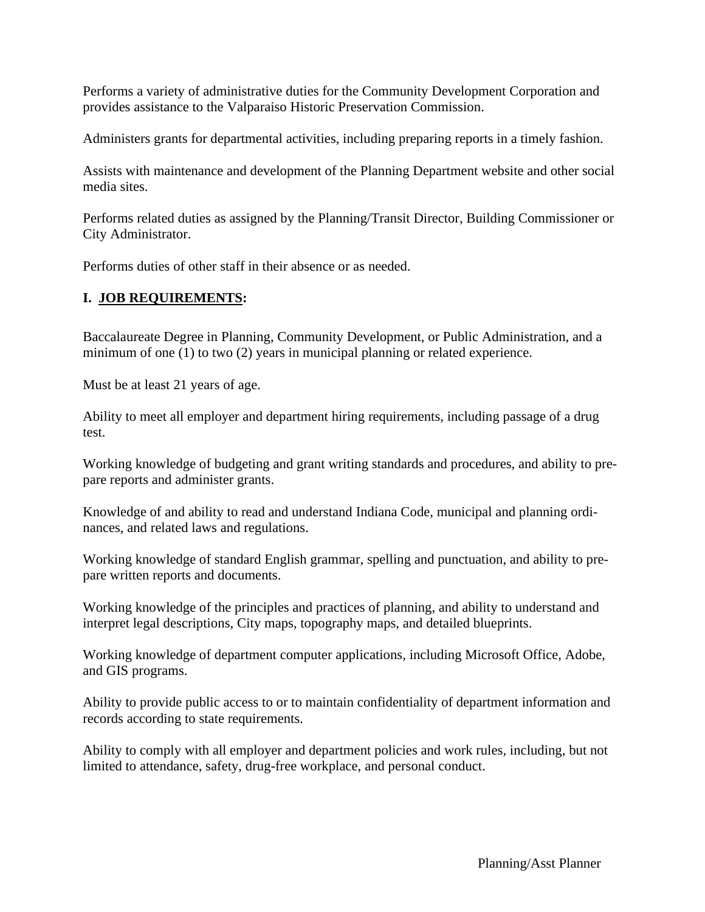Performs a variety of administrative duties for the Community Development Corporation and provides assistance to the Valparaiso Historic Preservation Commission.

Administers grants for departmental activities, including preparing reports in a timely fashion.

Assists with maintenance and development of the Planning Department website and other social media sites.

Performs related duties as assigned by the Planning/Transit Director, Building Commissioner or City Administrator.

Performs duties of other staff in their absence or as needed.

# **I. JOB REQUIREMENTS:**

Baccalaureate Degree in Planning, Community Development, or Public Administration, and a minimum of one (1) to two (2) years in municipal planning or related experience.

Must be at least 21 years of age.

Ability to meet all employer and department hiring requirements, including passage of a drug test.

Working knowledge of budgeting and grant writing standards and procedures, and ability to prepare reports and administer grants.

Knowledge of and ability to read and understand Indiana Code, municipal and planning ordinances, and related laws and regulations.

Working knowledge of standard English grammar, spelling and punctuation, and ability to prepare written reports and documents.

Working knowledge of the principles and practices of planning, and ability to understand and interpret legal descriptions, City maps, topography maps, and detailed blueprints.

Working knowledge of department computer applications, including Microsoft Office, Adobe, and GIS programs.

Ability to provide public access to or to maintain confidentiality of department information and records according to state requirements.

Ability to comply with all employer and department policies and work rules, including, but not limited to attendance, safety, drug-free workplace, and personal conduct.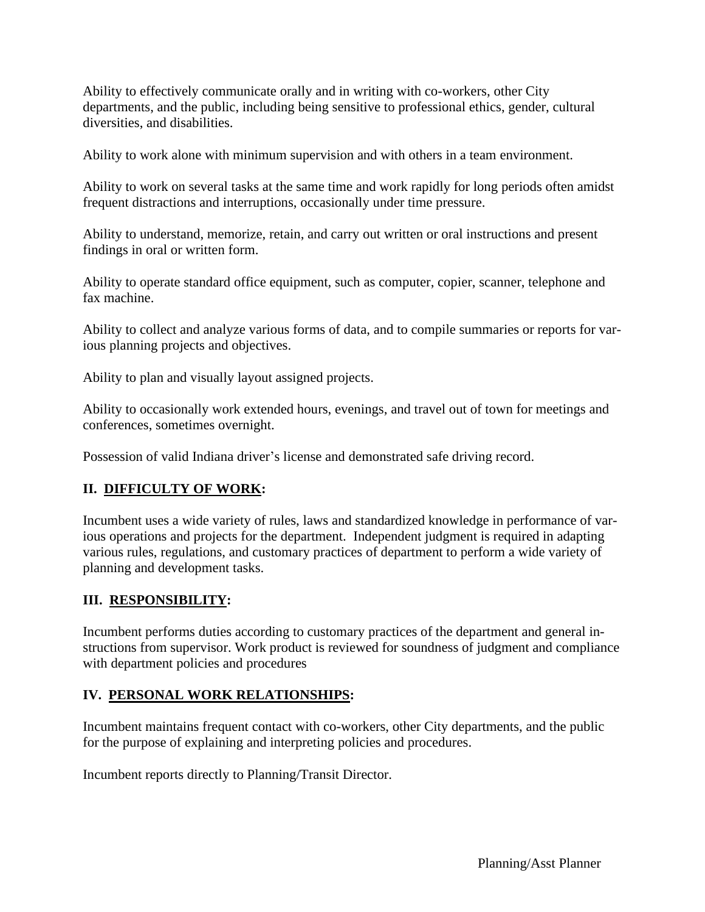Ability to effectively communicate orally and in writing with co-workers, other City departments, and the public, including being sensitive to professional ethics, gender, cultural diversities, and disabilities.

Ability to work alone with minimum supervision and with others in a team environment.

Ability to work on several tasks at the same time and work rapidly for long periods often amidst frequent distractions and interruptions, occasionally under time pressure.

Ability to understand, memorize, retain, and carry out written or oral instructions and present findings in oral or written form.

Ability to operate standard office equipment, such as computer, copier, scanner, telephone and fax machine.

Ability to collect and analyze various forms of data, and to compile summaries or reports for various planning projects and objectives.

Ability to plan and visually layout assigned projects.

Ability to occasionally work extended hours, evenings, and travel out of town for meetings and conferences, sometimes overnight.

Possession of valid Indiana driver's license and demonstrated safe driving record.

## **II. DIFFICULTY OF WORK:**

Incumbent uses a wide variety of rules, laws and standardized knowledge in performance of various operations and projects for the department. Independent judgment is required in adapting various rules, regulations, and customary practices of department to perform a wide variety of planning and development tasks.

## **III. RESPONSIBILITY:**

Incumbent performs duties according to customary practices of the department and general instructions from supervisor. Work product is reviewed for soundness of judgment and compliance with department policies and procedures

## **IV. PERSONAL WORK RELATIONSHIPS:**

Incumbent maintains frequent contact with co-workers, other City departments, and the public for the purpose of explaining and interpreting policies and procedures.

Incumbent reports directly to Planning/Transit Director.